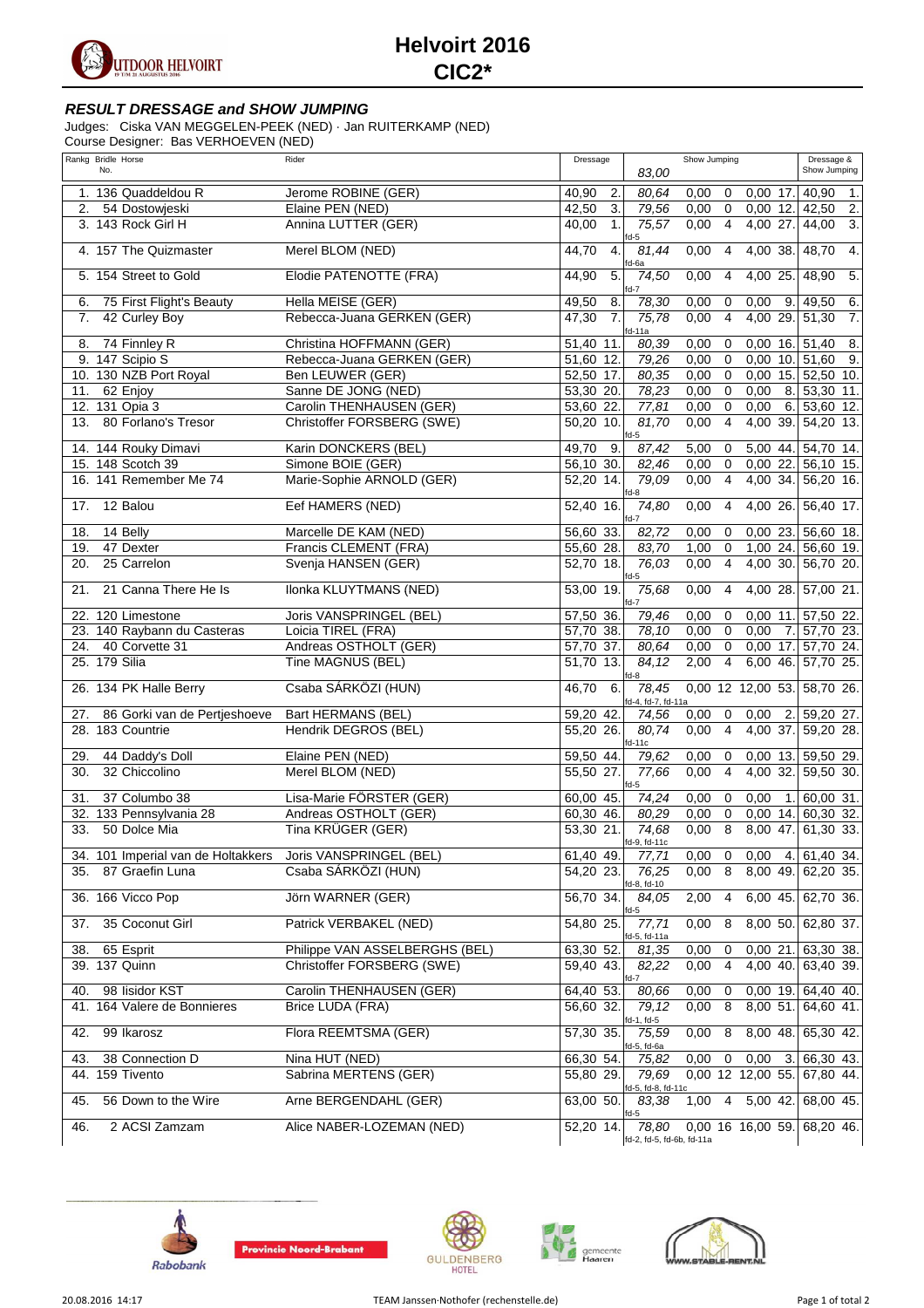

## **Helvoirt 2016 CIC2\***

## **RESULT DRESSAGE and SHOW JUMPING**

Judges: Ciska VAN MEGGELEN-PEEK (NED) · Jan RUITERKAMP (NED)

Course Designer: Bas VERHOEVEN (NED)

|     | Rankg Bridle Horse<br>No.            | Rider                                   | Dressage                               |                                    | Show Jumping                                  |                                 | Dressage &<br>Show Jumping      |
|-----|--------------------------------------|-----------------------------------------|----------------------------------------|------------------------------------|-----------------------------------------------|---------------------------------|---------------------------------|
|     |                                      |                                         |                                        | 83,00                              |                                               |                                 |                                 |
|     | 1. 136 Quaddeldou R                  | Jerome ROBINE (GER)                     | 40,90<br>2.                            | 80.64                              | 0,00<br>$\mathbf 0$                           | $0,00$ 17.                      | 40,90<br>1.                     |
| 2.  | 54 Dostowjeski<br>3. 143 Rock Girl H | Elaine PEN (NED)<br>Annina LUTTER (GER) | 42,50<br>3.<br>40,00<br>$\mathbf{1}$ . | 79,56<br>75,57                     | 0,00<br>$\mathbf 0$<br>0,00<br>$\overline{4}$ | $0,00$ 12. 42,50<br>4,00<br>27. | 2.<br>44,00<br>$\overline{3}$ . |
|     |                                      |                                         |                                        | fd-5                               |                                               |                                 |                                 |
|     | 4. 157 The Quizmaster                | Merel BLOM (NED)                        | 44,70<br>$\overline{4}$                | 81,44<br>fd-6a                     | 0,00<br>$\overline{4}$                        | 4,00 38.                        | 4.<br>48.70                     |
|     | 5. 154 Street to Gold                | Elodie PATENOTTE (FRA)                  | 44,90<br>5.                            | 74,50<br>$fd-7$                    | 0,00<br>$\overline{4}$                        | $4,00$ 25.                      | 48,90<br>5.                     |
| 6.  | 75 First Flight's Beauty             | Hella MEISE (GER)                       | 49,50<br>8.                            | 78,30                              | 0,00<br>0                                     | 0,00<br>9.                      | 6.<br>49,50                     |
| 7.  | 42 Curley Boy                        | Rebecca-Juana GERKEN (GER)              | $\overline{7}$ .<br>47,30              | 75,78<br>$fd-11a$                  | $\overline{4}$<br>0,00                        | 4,00 29.                        | 51,30<br>$\overline{7}$ .       |
| 8.  | 74 Finnley R                         | Christina HOFFMANN (GER)                | 51,40<br>11.                           | 80,39                              | 0,00<br>$\mathbf 0$                           | $0,00$ 16. 51,40                | $\overline{\mathcal{B}}$        |
|     | 9. 147 Scipio S                      | Rebecca-Juana GERKEN (GER)              | 51,60 12.                              | 79,26                              | 0,00<br>$\overline{0}$                        | $0.0010$ . 51.60                | 9.                              |
|     | 10. 130 NZB Port Royal               | Ben LEUWER (GER)                        | 52,50 17.                              | 80,35                              | 0,00<br>$\mathbf 0$                           |                                 | $0,00$ 15. 52,50 10.            |
| 11. | 62 Enjoy                             | Sanne DE JONG (NED)                     | 53,30 20.                              | 78,23                              | 0,00<br>$\mathsf 0$                           | 0,00                            | 8. 53,30 11.                    |
|     | 12. 131 Opia 3                       | Carolin THENHAUSEN (GER)                | 53,60<br>22.                           | 77,81                              | 0,00<br>$\mathbf 0$                           | 0,00<br>6.                      | 53,60 12.                       |
| 13. | 80 Forlano's Tresor                  | Christoffer FORSBERG (SWE)              | 50,20 10.                              | 81,70<br>$fd-5$                    | $\overline{4}$<br>0,00                        | 4,00 39.                        | $54,20$ 13.                     |
|     | 14. 144 Rouky Dimavi                 | Karin DONCKERS (BEL)                    | 49,70<br>9.                            | 87,42                              | 5,00<br>0                                     | 5,00 44.                        | 54,70 14.                       |
|     | 15. 148 Scotch 39                    | Simone BOIE (GER)                       | 56,10 30.                              | 82,46                              | 0,00<br>$\mathbf 0$                           | 0,0022.                         | 56,10 15.                       |
|     | 16. 141 Remember Me 74               | Marie-Sophie ARNOLD (GER)               | 52,20 14.                              | 79,09<br>$fd-8$                    | 0,00<br>$\overline{4}$                        | $4,00$ 34.                      | 56,20 16.                       |
| 17. | 12 Balou                             | Eef HAMERS (NED)                        | 52,40 16.                              | 74,80<br>$fd-7$                    | 0,00<br>$\overline{4}$                        | 4,00 26.                        | 56,40 17.                       |
| 18. | 14 Belly                             | Marcelle DE KAM (NED)                   | 56,60 33.                              | 82,72                              | 0,00<br>0                                     | 0,0023.                         | 56,60 18.                       |
| 19. | 47 Dexter                            | Francis CLEMENT (FRA)                   | $\overline{55}$ ,60 28.                | 83,70                              | 1,00<br>$\mathbf 0$                           | $1,00$ 24.                      | 56,60 19.                       |
| 20. | 25 Carrelon                          | Svenja HANSEN (GER)                     | 52,70 18.                              | 76,03<br>fd-5                      | 0,00<br>$\overline{4}$                        |                                 | 4,00 30. 56,70 20.              |
| 21. | 21 Canna There He Is                 | Ilonka KLUYTMANS (NED)                  | 53,00 19.                              | 75,68<br>$fd-7$                    | 0,00<br>$\overline{4}$                        | 4,00 28.                        | 57,00 21.                       |
|     | 22. 120 Limestone                    | Joris VANSPRINGEL (BEL)                 | 57,50 36.                              | 79,46                              | 0,00<br>$\mathbf 0$                           | $0,00$ 11.                      | 57,50 22.                       |
|     | 23. 140 Raybann du Casteras          | Loicia TIREL (FRA)                      | 57,70 38.                              | 78,10                              | $\mathbf 0$<br>0,00                           | 0,00<br>7.                      | $\overline{57,70}$ 23.          |
|     | 24. 40 Corvette 31                   | Andreas OSTHOLT (GER)                   | 57,70<br>37.                           | 80,64                              | $\overline{0}$<br>0,00                        | $0,00$ 17.                      | 57,70 24.                       |
|     | 25. 179 Silia                        | Tine MAGNUS (BEL)                       | 51,70 13.                              | 84,12<br>fd-8                      | $\overline{4}$<br>2,00                        |                                 | 6,00 46. 57,70 25.              |
|     | 26. 134 PK Halle Berry               | Csaba SÁRKÖZI (HUN)                     | 46,70<br>6.                            | 78,45<br>fd-4, fd-7, fd-11a        |                                               | 0,00 12 12,00 53.               | 58,70 26.                       |
| 27. | 86 Gorki van de Pertjeshoeve         | Bart HERMANS (BEL)                      | 59,20 42.                              | 74.56                              | 0,00<br>0                                     | 0,00<br>2.                      | 59,20 27.                       |
|     | 28. 183 Countrie                     | Hendrik DEGROS (BEL)                    | $55,20$ 26.                            | 80,74<br>$f$ d-11 $c$              | 0,00<br>$\overline{4}$                        | 4,00 37.                        | 59,20 28.                       |
| 29. | 44 Daddy's Doll                      | Elaine PEN (NED)                        | 59,50 44.                              | 79,62                              | 0,00<br>0                                     | $0,00$ 13.                      | 59,50 29.                       |
| 30. | 32 Chiccolino                        | Merel BLOM (NED)                        | 55,50 27.                              | 77,66<br>fd-5                      | $\overline{4}$<br>0,00                        | 4,00 32.                        | 59,50 30.                       |
| 31. | 37 Columbo 38                        | Lisa-Marie FÖRSTER (GER)                | 60,00 45.                              | 74,24                              | 0,00<br>0                                     | 0,00<br>1.                      | 60,00 31.                       |
|     | 32. 133 Pennsylvania 28              | Andreas OSTHOLT (GER)                   | 60,30 46.                              | 80,29                              | $\mathbf 0$<br>0,00                           | $0,00$ 14.                      | 60,30 32.                       |
| 33. | 50 Dolce Mia                         | Tina KRÜGER (GER)                       | 53.30 21.                              | 74,68<br>fd-9, fd-11c              | 8<br>0,00                                     |                                 | 8,00 47. 61,30 33.              |
|     | 34. 101 Imperial van de Holtakkers   | Joris VANSPRINGEL (BEL)                 | 61,40 49.                              | 77,71                              | $0,00 \quad 0$                                |                                 | $0,00$ 4. 61,40 34.             |
| 35. | 87 Graefin Luna                      | Csaba SÁRKÖZI (HUN)                     | 54,20 23.                              | 76,25<br>fd-8, fd-10               | 0,00<br>8                                     |                                 | 8,00 49. 62,20 35.              |
|     | 36. 166 Vicco Pop                    | Jörn WARNER (GER)                       | 56,70 34.                              | 84,05<br>$fd-5$                    | $\overline{4}$<br>2,00                        |                                 | 6,00 45. 62,70 36.              |
| 37. | 35 Coconut Girl                      | Patrick VERBAKEL (NED)                  | 54,80 25.                              | 77,71<br>fd-5, fd-11a              | $\overline{\mathbf{8}}$<br>0,00               |                                 | 8,00 50. 62,80 37.              |
| 38. | 65 Esprit                            | Philippe VAN ASSELBERGHS (BEL)          | 63,30 52.                              | 81,35                              | 0,00<br>0                                     | 0,0021.                         | 63,30 38.                       |
|     | 39. 137 Quinn                        | Christoffer FORSBERG (SWE)              | 59,40 43.                              | 82,22<br>fd-7                      | $\overline{4}$<br>0,00                        |                                 | 4,00 40. 63,40 39.              |
| 40. | 98 lisidor KST                       | Carolin THENHAUSEN (GER)                | 64,40 53.                              | 80,66                              | 0,00<br>0                                     |                                 | $0,00$ 19. 64,40 40.            |
|     | 41. 164 Valere de Bonnieres          | Brice LUDA (FRA)                        | 56,60 32.                              | 79,12<br>fd-1, fd-5                | $\overline{8}$<br>0,00                        |                                 | 8,00 51. 64,60 41.              |
| 42. | 99 Ikarosz                           | Flora REEMTSMA (GER)                    | 57,30 35.                              | 75,59<br>fd-5, fd-6a               | 8<br>0,00                                     | $8,00$ 48.                      | 65,30 42.                       |
| 43. | 38 Connection D                      | Nina HUT (NED)                          | 66,30 54.                              | 75,82                              | 0,00<br>0                                     | 0,00<br>3.                      | 66,30 43.                       |
|     | 44. 159 Tivento                      | Sabrina MERTENS (GER)                   | 55,80 29.                              | 79.69<br>fd-5, fd-8, fd-11c        |                                               |                                 | 0,00 12 12,00 55. 67,80 44.     |
| 45. | 56 Down to the Wire                  | Arne BERGENDAHL (GER)                   | 63,00 50.                              | 83,38<br>$fd-5$                    | 4<br>1,00                                     | 5,00 42.                        | 68,00 45.                       |
| 46. | 2 ACSI Zamzam                        | Alice NABER-LOZEMAN (NED)               | 52,20 14.                              | 78,80<br>fd-2, fd-5, fd-6b, fd-11a |                                               | $0,00$ 16 16,00 59.             | 68,20 46.                       |